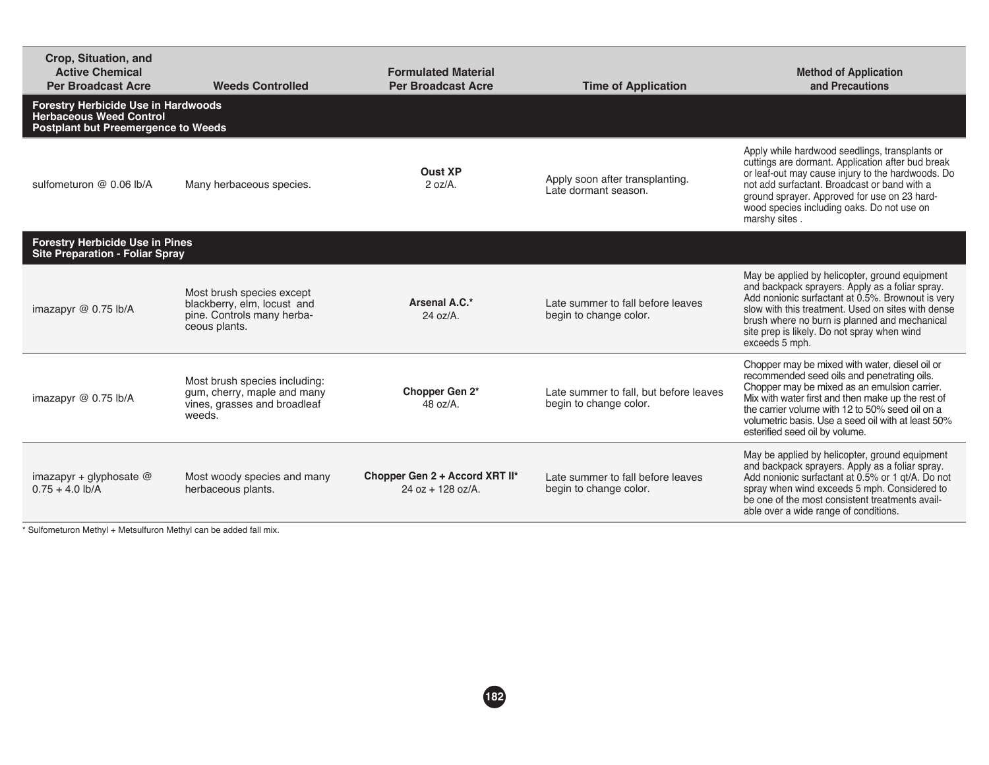| Crop, Situation, and<br><b>Active Chemical</b><br><b>Per Broadcast Acre</b>                                                | <b>Weeds Controlled</b>                                                                                 | <b>Formulated Material</b><br><b>Per Broadcast Acre</b> | <b>Time of Application</b>                                       | <b>Method of Application</b><br>and Precautions                                                                                                                                                                                                                                                                                               |  |
|----------------------------------------------------------------------------------------------------------------------------|---------------------------------------------------------------------------------------------------------|---------------------------------------------------------|------------------------------------------------------------------|-----------------------------------------------------------------------------------------------------------------------------------------------------------------------------------------------------------------------------------------------------------------------------------------------------------------------------------------------|--|
| <b>Forestry Herbicide Use in Hardwoods</b><br><b>Herbaceous Weed Control</b><br><b>Postplant but Preemergence to Weeds</b> |                                                                                                         |                                                         |                                                                  |                                                                                                                                                                                                                                                                                                                                               |  |
| sulfometuron @ 0.06 lb/A                                                                                                   | Many herbaceous species.                                                                                | <b>Oust XP</b><br>$2 oz/A$ .                            | Apply soon after transplanting.<br>Late dormant season.          | Apply while hardwood seedlings, transplants or<br>cuttings are dormant. Application after bud break<br>or leaf-out may cause injury to the hardwoods. Do<br>not add surfactant. Broadcast or band with a<br>ground sprayer. Approved for use on 23 hard-<br>wood species including oaks. Do not use on<br>marshy sites.                       |  |
| <b>Forestry Herbicide Use in Pines</b><br><b>Site Preparation - Foliar Spray</b>                                           |                                                                                                         |                                                         |                                                                  |                                                                                                                                                                                                                                                                                                                                               |  |
| imazapyr @ 0.75 lb/A                                                                                                       | Most brush species except<br>blackberry, elm, locust and<br>pine. Controls many herba-<br>ceous plants. | Arsenal A.C.*<br>$24$ oz/A.                             | Late summer to fall before leaves<br>begin to change color.      | May be applied by helicopter, ground equipment<br>and backpack sprayers. Apply as a foliar spray.<br>Add nonionic surfactant at 0.5%. Brownout is very<br>slow with this treatment. Used on sites with dense<br>brush where no burn is planned and mechanical<br>site prep is likely. Do not spray when wind<br>exceeds 5 mph.                |  |
| imazapyr @ 0.75 lb/A                                                                                                       | Most brush species including:<br>gum, cherry, maple and many<br>vines, grasses and broadleaf<br>weeds.  | Chopper Gen 2*<br>$48 \text{ oz/A}.$                    | Late summer to fall, but before leaves<br>begin to change color. | Chopper may be mixed with water, diesel oil or<br>recommended seed oils and penetrating oils.<br>Chopper may be mixed as an emulsion carrier.<br>Mix with water first and then make up the rest of<br>the carrier volume with 12 to 50% seed oil on a<br>volumetric basis. Use a seed oil with at least 50%<br>esterified seed oil by volume. |  |
| imazapyr + glyphosate @<br>$0.75 + 4.0$ lb/A                                                                               | Most woody species and many<br>herbaceous plants.                                                       | Chopper Gen 2 + Accord XRT II*<br>$24$ oz + 128 oz/A.   | Late summer to fall before leaves<br>begin to change color.      | May be applied by helicopter, ground equipment<br>and backpack sprayers. Apply as a foliar spray.<br>Add nonionic surfactant at 0.5% or 1 gt/A. Do not<br>spray when wind exceeds 5 mph. Considered to<br>be one of the most consistent treatments avail-<br>able over a wide range of conditions.                                            |  |

\* Sulfometuron Methyl + Metsulfuron Methyl can be added fall mix.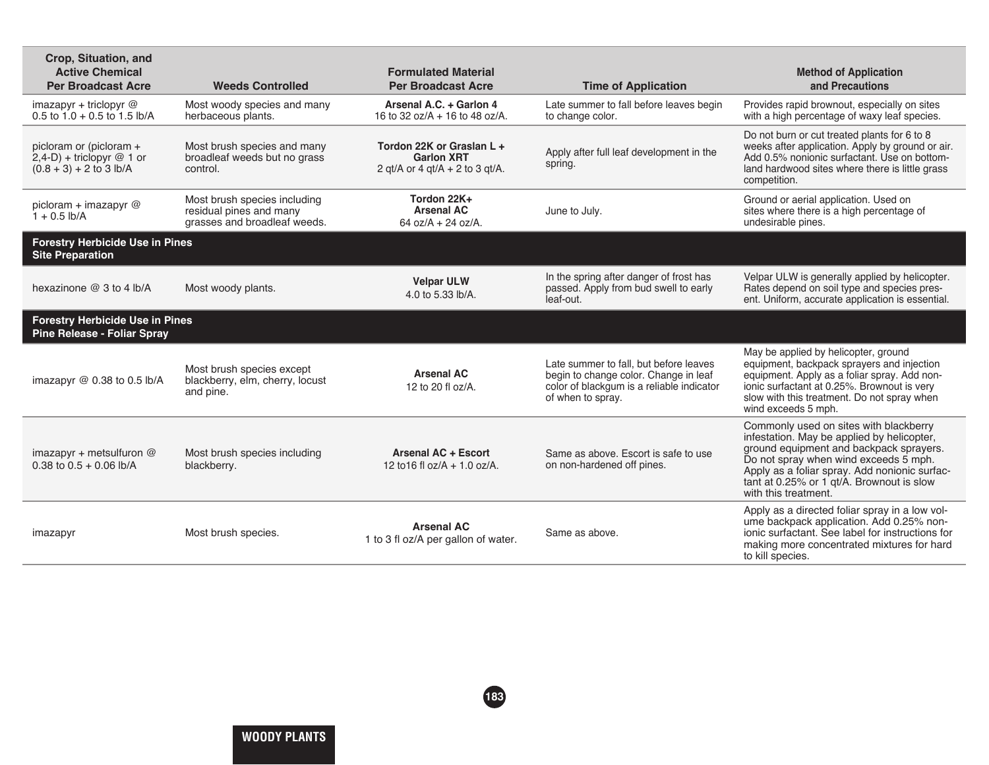| Crop, Situation, and<br><b>Active Chemical</b><br><b>Per Broadcast Acre</b>          | <b>Weeds Controlled</b>                                                                 | <b>Formulated Material</b><br><b>Per Broadcast Acre</b>                             | <b>Time of Application</b>                                                                                                                        | <b>Method of Application</b><br>and Precautions                                                                                                                                                                                                                                                |
|--------------------------------------------------------------------------------------|-----------------------------------------------------------------------------------------|-------------------------------------------------------------------------------------|---------------------------------------------------------------------------------------------------------------------------------------------------|------------------------------------------------------------------------------------------------------------------------------------------------------------------------------------------------------------------------------------------------------------------------------------------------|
| imazapyr + triclopyr $@$<br>$0.5$ to $1.0 + 0.5$ to $1.5$ lb/A                       | Most woody species and many<br>herbaceous plants.                                       | Arsenal A.C. + Garlon 4<br>16 to 32 oz/A + 16 to 48 oz/A.                           | Late summer to fall before leaves begin<br>to change color.                                                                                       | Provides rapid brownout, especially on sites<br>with a high percentage of waxy leaf species.                                                                                                                                                                                                   |
| picloram or (picloram +<br>$2,4-D$ ) + triclopyr @ 1 or<br>$(0.8 + 3) + 2$ to 3 lb/A | Most brush species and many<br>broadleaf weeds but no grass<br>control.                 | Tordon 22K or Graslan L +<br><b>Garlon XRT</b><br>2 qt/A or 4 qt/A $+$ 2 to 3 qt/A. | Apply after full leaf development in the<br>spring.                                                                                               | Do not burn or cut treated plants for 6 to 8<br>weeks after application. Apply by ground or air.<br>Add 0.5% nonionic surfactant. Use on bottom-<br>land hardwood sites where there is little grass<br>competition.                                                                            |
| picloram + imazapyr @<br>$1 + 0.5$ lb/A                                              | Most brush species including<br>residual pines and many<br>grasses and broadleaf weeds. | Tordon 22K+<br><b>Arsenal AC</b><br>64 oz/A + 24 oz/A.                              | June to July.                                                                                                                                     | Ground or aerial application. Used on<br>sites where there is a high percentage of<br>undesirable pines.                                                                                                                                                                                       |
| <b>Forestry Herbicide Use in Pines</b><br><b>Site Preparation</b>                    |                                                                                         |                                                                                     |                                                                                                                                                   |                                                                                                                                                                                                                                                                                                |
| hexazinone @ 3 to 4 lb/A                                                             | Most woody plants.                                                                      | <b>Velpar ULW</b><br>4.0 to 5.33 lb/A.                                              | In the spring after danger of frost has<br>passed. Apply from bud swell to early<br>leaf-out.                                                     | Velpar ULW is generally applied by helicopter.<br>Rates depend on soil type and species pres-<br>ent. Uniform, accurate application is essential.                                                                                                                                              |
| <b>Forestry Herbicide Use in Pines</b><br><b>Pine Release - Foliar Spray</b>         |                                                                                         |                                                                                     |                                                                                                                                                   |                                                                                                                                                                                                                                                                                                |
| imazapyr $@$ 0.38 to 0.5 lb/A                                                        | Most brush species except<br>blackberry, elm, cherry, locust<br>and pine.               | <b>Arsenal AC</b><br>12 to 20 fl oz/A.                                              | Late summer to fall, but before leaves<br>begin to change color. Change in leaf<br>color of blackgum is a reliable indicator<br>of when to spray. | May be applied by helicopter, ground<br>equipment, backpack sprayers and injection<br>equipment. Apply as a foliar spray. Add non-<br>ionic surfactant at 0.25%. Brownout is very<br>slow with this treatment. Do not spray when<br>wind exceeds 5 mph.                                        |
| imazapyr + metsulfuron $@$<br>0.38 to $0.5 + 0.06$ lb/A                              | Most brush species including<br>blackberry.                                             | <b>Arsenal AC + Escort</b><br>12 to 16 fl oz/ $A + 1.0$ oz/ $A$ .                   | Same as above. Escort is safe to use<br>on non-hardened off pines.                                                                                | Commonly used on sites with blackberry<br>infestation. May be applied by helicopter,<br>ground equipment and backpack sprayers.<br>Do not spray when wind exceeds 5 mph.<br>Apply as a foliar spray. Add nonionic surfac-<br>tant at 0.25% or 1 gt/A. Brownout is slow<br>with this treatment. |
| imazapyr                                                                             | Most brush species.                                                                     | <b>Arsenal AC</b><br>1 to 3 fl oz/A per gallon of water.                            | Same as above.                                                                                                                                    | Apply as a directed foliar spray in a low vol-<br>ume backpack application. Add 0.25% non-<br>jonic surfactant. See label for instructions for<br>making more concentrated mixtures for hard<br>to kill species.                                                                               |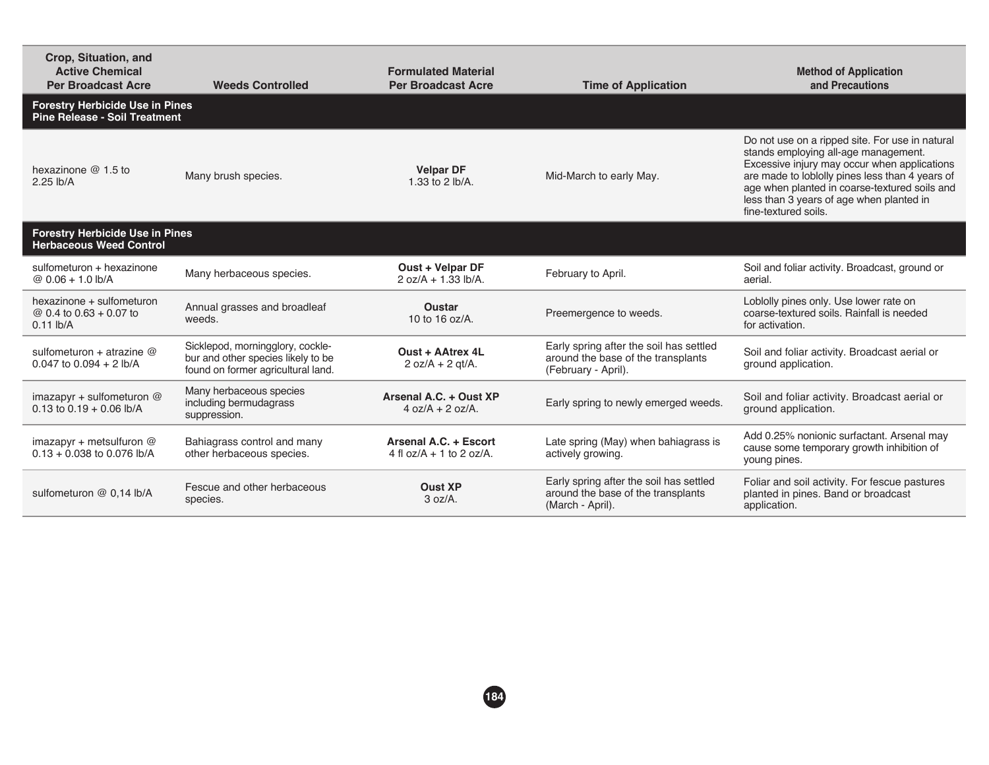| Crop, Situation, and<br><b>Active Chemical</b><br><b>Per Broadcast Acre</b>    | <b>Weeds Controlled</b>                                                                                      | <b>Formulated Material</b><br><b>Per Broadcast Acre</b> | <b>Time of Application</b>                                                                           | <b>Method of Application</b><br>and Precautions                                                                                                                                                                                                                                                                 |  |
|--------------------------------------------------------------------------------|--------------------------------------------------------------------------------------------------------------|---------------------------------------------------------|------------------------------------------------------------------------------------------------------|-----------------------------------------------------------------------------------------------------------------------------------------------------------------------------------------------------------------------------------------------------------------------------------------------------------------|--|
| <b>Forestry Herbicide Use in Pines</b><br><b>Pine Release - Soil Treatment</b> |                                                                                                              |                                                         |                                                                                                      |                                                                                                                                                                                                                                                                                                                 |  |
| hexazinone $@1.5$ to<br>$2.25$ lb/A                                            | Many brush species.                                                                                          | <b>Velpar DF</b><br>1.33 to 2 lb/A.                     | Mid-March to early May.                                                                              | Do not use on a ripped site. For use in natural<br>stands employing all-age management.<br>Excessive injury may occur when applications<br>are made to loblolly pines less than 4 years of<br>age when planted in coarse-textured soils and<br>less than 3 years of age when planted in<br>fine-textured soils. |  |
| <b>Forestry Herbicide Use in Pines</b><br><b>Herbaceous Weed Control</b>       |                                                                                                              |                                                         |                                                                                                      |                                                                                                                                                                                                                                                                                                                 |  |
| sulfometuron + hexazinone<br>$@0.06 + 1.0 \text{ lb/A}$                        | Many herbaceous species.                                                                                     | Oust + Velpar DF<br>$2 oz/A + 1.33 lb/A.$               | February to April.                                                                                   | Soil and foliar activity. Broadcast, ground or<br>aerial.                                                                                                                                                                                                                                                       |  |
| hexazinone + sulfometuron<br>@ 0.4 to $0.63 + 0.07$ to<br>$0.11$ lb/A          | Annual grasses and broadleaf<br>weeds.                                                                       | <b>Oustar</b><br>10 to 16 oz/A.                         | Preemergence to weeds.                                                                               | Loblolly pines only. Use lower rate on<br>coarse-textured soils. Rainfall is needed<br>for activation.                                                                                                                                                                                                          |  |
| sulfometuron + atrazine $@$<br>$0.047$ to $0.094 + 2$ lb/A                     | Sicklepod, morningglory, cockle-<br>bur and other species likely to be<br>found on former agricultural land. | Oust + AAtrex 4L<br>$2 oz/A + 2 qt/A$ .                 | Early spring after the soil has settled<br>around the base of the transplants<br>(February - April). | Soil and foliar activity. Broadcast aerial or<br>ground application.                                                                                                                                                                                                                                            |  |
| imazapyr + sulfometuron $@$<br>0.13 to $0.19 + 0.06$ lb/A                      | Many herbaceous species<br>including bermudagrass<br>suppression.                                            | Arsenal A.C. + Oust XP<br>$4 oz/A + 2 oz/A.$            | Early spring to newly emerged weeds.                                                                 | Soil and foliar activity. Broadcast aerial or<br>ground application.                                                                                                                                                                                                                                            |  |
| imazapyr + metsulfuron $@$<br>$0.13 + 0.038$ to 0.076 lb/A                     | Bahiagrass control and many<br>other herbaceous species.                                                     | Arsenal A.C. + Escort<br>4 fl $oz/A + 1$ to 2 oz/A.     | Late spring (May) when bahiagrass is<br>actively growing.                                            | Add 0.25% nonionic surfactant. Arsenal may<br>cause some temporary growth inhibition of<br>young pines.                                                                                                                                                                                                         |  |
| sulfometuron @ 0.14 lb/A                                                       | Fescue and other herbaceous<br>species.                                                                      | <b>Oust XP</b><br>3 oz/A.                               | Early spring after the soil has settled<br>around the base of the transplants<br>(March - April).    | Foliar and soil activity. For fescue pastures<br>planted in pines. Band or broadcast<br>application.                                                                                                                                                                                                            |  |